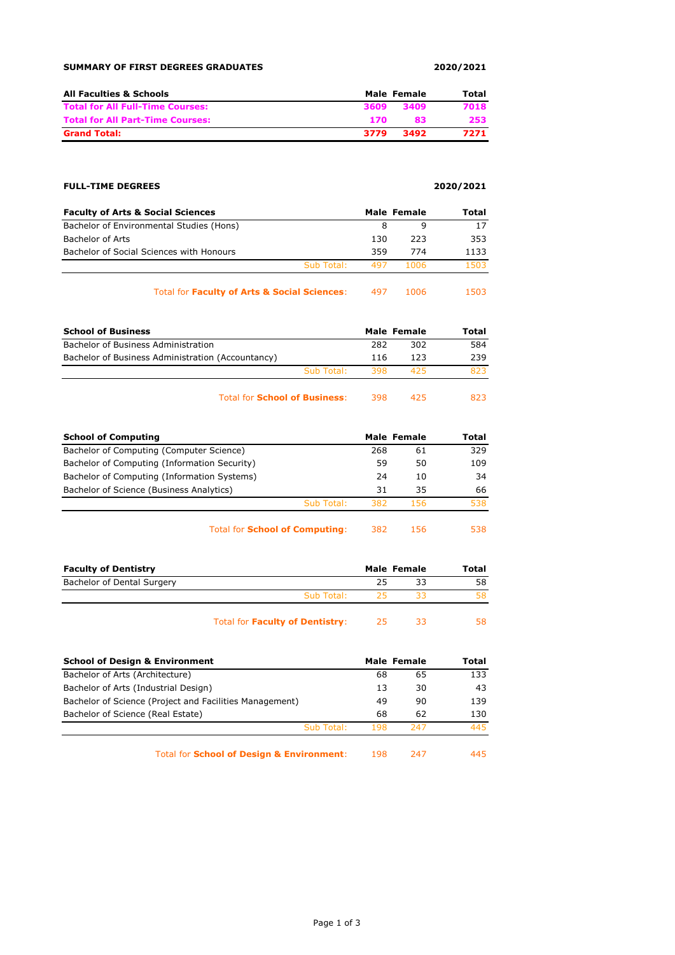| <b>SUMMARY OF FIRST DEGREES GRADUATES</b> | 2020/2021 |
|-------------------------------------------|-----------|
|-------------------------------------------|-----------|

| <b>All Faculties &amp; Schools</b>      |      | Male Female | Total |
|-----------------------------------------|------|-------------|-------|
| <b>Total for All Full-Time Courses:</b> | 3609 | 3409        | 7018  |
| <b>Total for All Part-Time Courses:</b> | 170. | 83          | 253   |
| <b>Grand Total:</b>                     | 3779 | 3492        | 7271  |

## **FULL-TIME DEGREES 2020/2021**

| <b>Faculty of Arts &amp; Social Sciences</b> |            |     | Male Female | Total |
|----------------------------------------------|------------|-----|-------------|-------|
| Bachelor of Environmental Studies (Hons)     |            | 8   |             | 17    |
| Bachelor of Arts                             |            | 130 | 223         | 353   |
| Bachelor of Social Sciences with Honours     |            | 359 | 774         | 1133  |
|                                              | Sub Total: | 497 | 1006        | 1503  |
|                                              |            |     |             |       |

Total for **Faculty of Arts & Social Sciences**: 497 1006 1503

| <b>School of Business</b>                         |            |     | Male Female | Total |
|---------------------------------------------------|------------|-----|-------------|-------|
| Bachelor of Business Administration               |            | 282 | 302         | 584   |
| Bachelor of Business Administration (Accountancy) |            | 116 | 123         | 239   |
|                                                   | Sub Total: | 398 | 425         | 823   |
|                                                   |            |     |             |       |

Total for **School of Business**: 398 425 823

| <b>School of Computing</b>                   |            | Male Female |     | Total |
|----------------------------------------------|------------|-------------|-----|-------|
| Bachelor of Computing (Computer Science)     |            | 268         | 61  | 329   |
| Bachelor of Computing (Information Security) |            | 59          | 50  | 109   |
| Bachelor of Computing (Information Systems)  |            | 24          | 10  | 34    |
| Bachelor of Science (Business Analytics)     |            | 31          | 35  | 66    |
|                                              | Sub Total: | -382        | 156 | 538.  |
|                                              |            |             |     |       |

Total for **School of Computing**: 382 156 538

| <b>Faculty of Dentistry</b> |            | Male Female | Total |
|-----------------------------|------------|-------------|-------|
| Bachelor of Dental Surgery  |            |             | 58    |
|                             | Sub Total: |             | 58    |
|                             |            |             |       |

Total for **Faculty of Dentistry**: 25 33 58

| <b>School of Design &amp; Environment</b>               |     | Male Female | Total |
|---------------------------------------------------------|-----|-------------|-------|
| Bachelor of Arts (Architecture)                         | 68  | 65          | 133   |
| Bachelor of Arts (Industrial Design)                    | 13  | 30          | 43    |
| Bachelor of Science (Project and Facilities Management) | 49  | 90          | 139   |
| Bachelor of Science (Real Estate)                       | 68  | 62          | 130   |
| Sub Total:                                              | 198 | 247         | 445   |
| <b>Total for School of Design &amp; Environment:</b>    | 198 | 247         | 445   |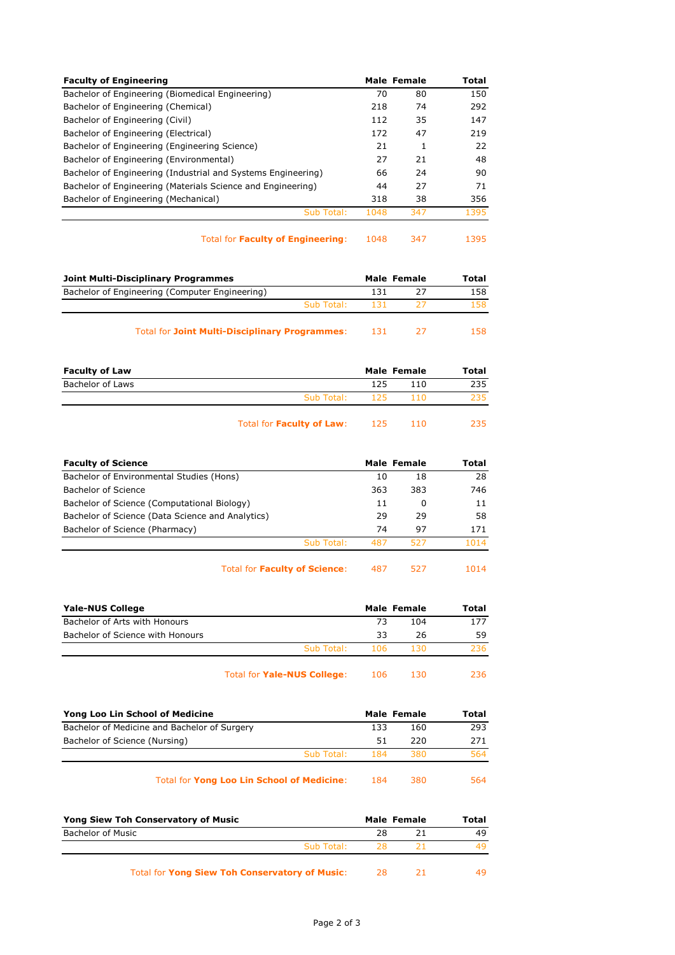| <b>Faculty of Engineering</b>                                |      | Male Female | Total |
|--------------------------------------------------------------|------|-------------|-------|
| Bachelor of Engineering (Biomedical Engineering)             | 70   | 80          | 150   |
| Bachelor of Engineering (Chemical)                           | 218  | 74          | 292   |
| Bachelor of Engineering (Civil)                              | 112  | 35          | 147   |
| Bachelor of Engineering (Electrical)                         | 172  | 47          | 219   |
| Bachelor of Engineering (Engineering Science)                | 21   |             | 22    |
| Bachelor of Engineering (Environmental)                      | 27   | 21          | 48    |
| Bachelor of Engineering (Industrial and Systems Engineering) | 66   | 24          | 90    |
| Bachelor of Engineering (Materials Science and Engineering)  | 44   | 27          | 71    |
| Bachelor of Engineering (Mechanical)                         | 318  | 38          | 356   |
| Sub Total:                                                   | 1048 | 347         | 1395  |
|                                                              |      |             |       |

Total for **Faculty of Engineering**: 1048 347 1395

| Joint Multi-Disciplinary Programmes                   |      | Male Female | Total |
|-------------------------------------------------------|------|-------------|-------|
| Bachelor of Engineering (Computer Engineering)        | 131  |             | 158   |
| Sub Total:                                            | -131 |             | 158.  |
| <b>Total for Joint Multi-Disciplinary Programmes:</b> | 131  |             | 158.  |

| <b>Faculty of Law</b> |            | <b>Male Female</b> |      | Total |
|-----------------------|------------|--------------------|------|-------|
| Bachelor of Laws      |            | 125                | 110  | 235   |
|                       | Sub Total: | 125                | 11 N | 235.  |
|                       |            |                    |      |       |

| Total for Faculty of Law: | 125<br>110 | 235 |
|---------------------------|------------|-----|
|---------------------------|------------|-----|

| <b>Faculty of Science</b>                        |            |     | Male Female | Total |
|--------------------------------------------------|------------|-----|-------------|-------|
| Bachelor of Environmental Studies (Hons)         |            | 10  | 18          | 28    |
| Bachelor of Science                              |            | 363 | 383         | 746   |
| Bachelor of Science (Computational Biology)      |            | 11  | O           | 11    |
| Bachelor of Science (Data Science and Analytics) |            | 29  | 29          | 58    |
| Bachelor of Science (Pharmacy)                   |            | 74  | 97          | 171   |
|                                                  | Sub Total: | 487 | 527         | 1014  |
|                                                  |            |     |             |       |

Total for **Faculty of Science**: 487 527 1014

| <b>Yale-NUS College</b>          |            |     | Male Female | Total |
|----------------------------------|------------|-----|-------------|-------|
| Bachelor of Arts with Honours    |            | 73  | 104         | 177   |
| Bachelor of Science with Honours |            | 33  | 26          | 59    |
|                                  | Sub Total: | 106 | 130         | 236   |
|                                  |            |     |             |       |

Total for **Yale-NUS College**: 106 130 236

| Yong Loo Lin School of Medicine                   | Male Female |     | Total |
|---------------------------------------------------|-------------|-----|-------|
| Bachelor of Medicine and Bachelor of Surgery      | 133         | 160 | 293   |
| Bachelor of Science (Nursing)                     | 51          | 220 | 271   |
| Sub Total:                                        | 184         | 380 | 564   |
|                                                   |             |     |       |
| <b>Total for Yong Loo Lin School of Medicine:</b> | 184         | 380 | 564   |

| <b>Yong Siew Toh Conservatory of Music</b>            |           | Male Female |     |
|-------------------------------------------------------|-----------|-------------|-----|
| Bachelor of Music                                     | 28        |             | 49  |
| Sub Total:                                            | <b>78</b> |             | 49. |
| <b>Total for Yong Siew Toh Conservatory of Music:</b> | -28       |             | 49. |